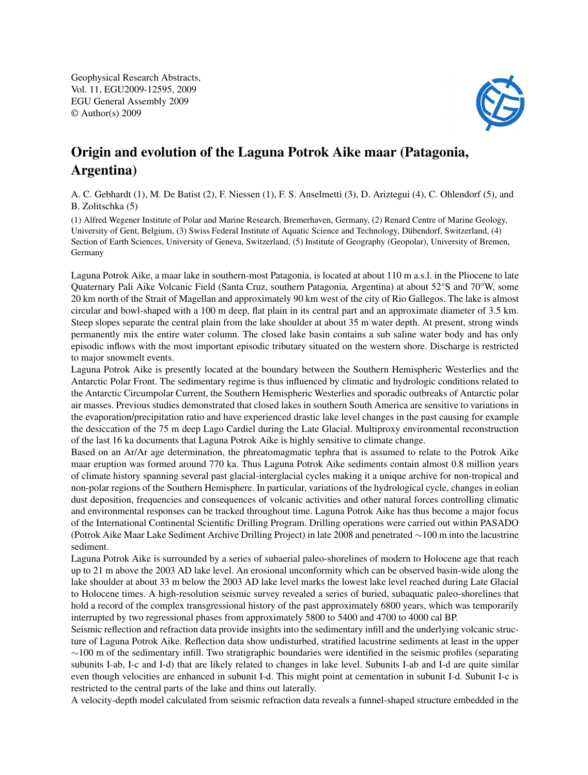Geophysical Research Abstracts, Vol. 11, EGU2009-12595, 2009 EGU General Assembly 2009 © Author(s) 2009



## Origin and evolution of the Laguna Potrok Aike maar (Patagonia, Argentina)

A. C. Gebhardt (1), M. De Batist (2), F. Niessen (1), F. S. Anselmetti (3), D. Ariztegui (4), C. Ohlendorf (5), and B. Zolitschka (5)

(1) Alfred Wegener Institute of Polar and Marine Research, Bremerhaven, Germany, (2) Renard Centre of Marine Geology, University of Gent, Belgium, (3) Swiss Federal Institute of Aquatic Science and Technology, Dübendorf, Switzerland, (4) Section of Earth Sciences, University of Geneva, Switzerland, (5) Institute of Geography (Geopolar), University of Bremen, Germany

Laguna Potrok Aike, a maar lake in southern-most Patagonia, is located at about 110 m a.s.l. in the Pliocene to late Quaternary Pali Aike Volcanic Field (Santa Cruz, southern Patagonia, Argentina) at about 52°S and 70°W, some 20 km north of the Strait of Magellan and approximately 90 km west of the city of Rio Gallegos. The lake is almost circular and bowl-shaped with a 100 m deep, flat plain in its central part and an approximate diameter of 3.5 km. Steep slopes separate the central plain from the lake shoulder at about 35 m water depth. At present, strong winds permanently mix the entire water column. The closed lake basin contains a sub saline water body and has only episodic inflows with the most important episodic tributary situated on the western shore. Discharge is restricted to major snowmelt events.

Laguna Potrok Aike is presently located at the boundary between the Southern Hemispheric Westerlies and the Antarctic Polar Front. The sedimentary regime is thus influenced by climatic and hydrologic conditions related to the Antarctic Circumpolar Current, the Southern Hemispheric Westerlies and sporadic outbreaks of Antarctic polar air masses. Previous studies demonstrated that closed lakes in southern South America are sensitive to variations in the evaporation/precipitation ratio and have experienced drastic lake level changes in the past causing for example the desiccation of the 75 m deep Lago Cardiel during the Late Glacial. Multiproxy environmental reconstruction of the last 16 ka documents that Laguna Potrok Aike is highly sensitive to climate change.

Based on an Ar/Ar age determination, the phreatomagmatic tephra that is assumed to relate to the Potrok Aike maar eruption was formed around 770 ka. Thus Laguna Potrok Aike sediments contain almost 0.8 million years of climate history spanning several past glacial-interglacial cycles making it a unique archive for non-tropical and non-polar regions of the Southern Hemisphere. In particular, variations of the hydrological cycle, changes in eolian dust deposition, frequencies and consequences of volcanic activities and other natural forces controlling climatic and environmental responses can be tracked throughout time. Laguna Potrok Aike has thus become a major focus of the International Continental Scientific Drilling Program. Drilling operations were carried out within PASADO (Potrok Aike Maar Lake Sediment Archive Drilling Project) in late 2008 and penetrated ∼100 m into the lacustrine sediment.

Laguna Potrok Aike is surrounded by a series of subaerial paleo-shorelines of modern to Holocene age that reach up to 21 m above the 2003 AD lake level. An erosional unconformity which can be observed basin-wide along the lake shoulder at about 33 m below the 2003 AD lake level marks the lowest lake level reached during Late Glacial to Holocene times. A high-resolution seismic survey revealed a series of buried, subaquatic paleo-shorelines that hold a record of the complex transgressional history of the past approximately 6800 years, which was temporarily interrupted by two regressional phases from approximately 5800 to 5400 and 4700 to 4000 cal BP.

Seismic reflection and refraction data provide insights into the sedimentary infill and the underlying volcanic structure of Laguna Potrok Aike. Reflection data show undisturbed, stratified lacustrine sediments at least in the upper  $\sim$ 100 m of the sedimentary infill. Two stratigraphic boundaries were identified in the seismic profiles (separating subunits I-ab, I-c and I-d) that are likely related to changes in lake level. Subunits I-ab and I-d are quite similar even though velocities are enhanced in subunit I-d. This might point at cementation in subunit I-d. Subunit I-c is restricted to the central parts of the lake and thins out laterally.

A velocity-depth model calculated from seismic refraction data reveals a funnel-shaped structure embedded in the